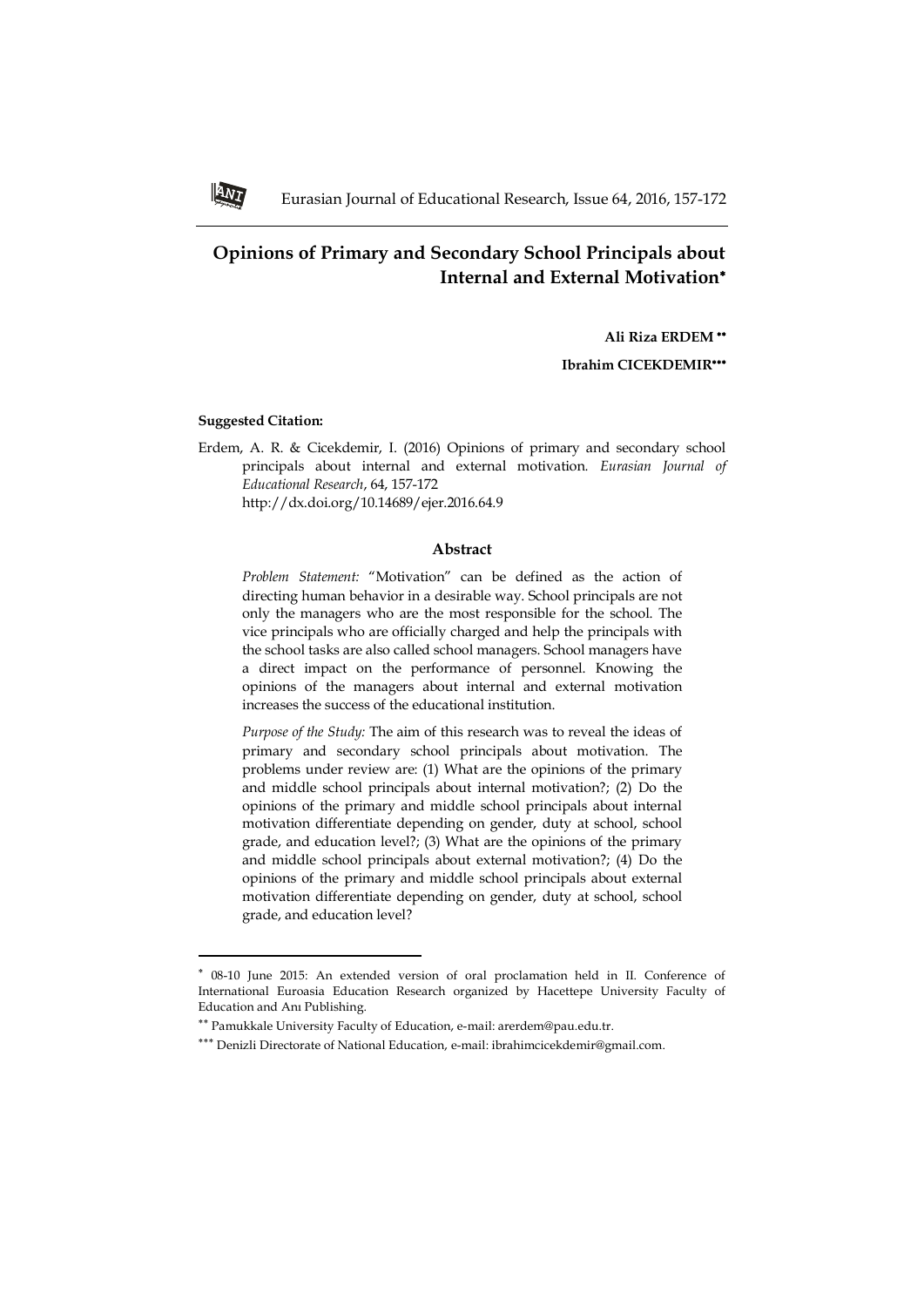# **Opinions of Primary and Secondary School Principals about Internal and External Motivation**

**Ali Riza ERDEM** 

**Ibrahim CICEKDEMIR**

### **Suggested Citation:**

 $\overline{a}$ 

Erdem, A. R. & Cicekdemir, I. (2016) Opinions of primary and secondary school principals about internal and external motivation*. Eurasian Journal of Educational Research*, 64, 157-172 http://dx.doi.org/10.14689/ejer.2016.64.9

**Abstract**

*Problem Statement:* "Motivation" can be defined as the action of directing human behavior in a desirable way. School principals are not only the managers who are the most responsible for the school. The vice principals who are officially charged and help the principals with the school tasks are also called school managers. School managers have a direct impact on the performance of personnel. Knowing the opinions of the managers about internal and external motivation increases the success of the educational institution.

*Purpose of the Study:* The aim of this research was to reveal the ideas of primary and secondary school principals about motivation. The problems under review are: (1) What are the opinions of the primary and middle school principals about internal motivation?; (2) Do the opinions of the primary and middle school principals about internal motivation differentiate depending on gender, duty at school, school grade, and education level?; (3) What are the opinions of the primary and middle school principals about external motivation?; (4) Do the opinions of the primary and middle school principals about external motivation differentiate depending on gender, duty at school, school grade, and education level?



08-10 June 2015: An extended version of oral proclamation held in II. Conference of International Euroasia Education Research organized by Hacettepe University Faculty of Education and Anı Publishing.

Pamukkale University Faculty of Education, e-mail: [arerdem@pau.edu.tr.](mailto:arerdem@pau.edu.tr)

<sup>\*\*\*</sup> Denizli Directorate of National Education, e-mail: [ibrahimcicekdemir@gmail.com.](mailto:ibrahimcicekdemir@gmail.com)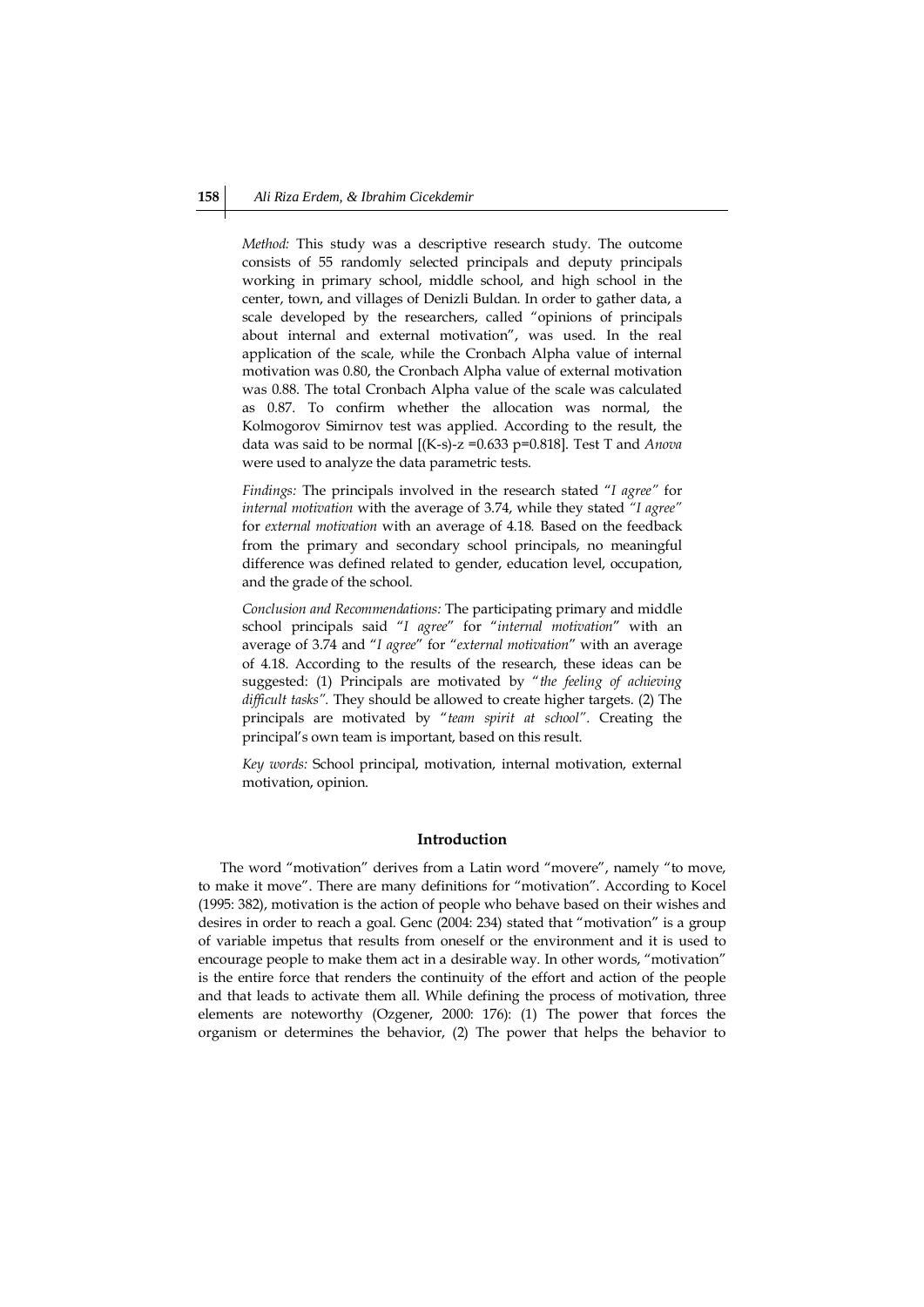*Method:* This study was a descriptive research study. The outcome consists of 55 randomly selected principals and deputy principals working in primary school, middle school, and high school in the center, town, and villages of Denizli Buldan. In order to gather data, a scale developed by the researchers, called "opinions of principals about internal and external motivation", was used. In the real application of the scale, while the Cronbach Alpha value of internal motivation was 0.80, the Cronbach Alpha value of external motivation was 0.88. The total Cronbach Alpha value of the scale was calculated as 0.87. To confirm whether the allocation was normal, the Kolmogorov Simirnov test was applied. According to the result, the data was said to be normal [(K-s)-z =0.633 p=0.818]. Test T and *Anova* were used to analyze the data parametric tests.

*Findings:* The principals involved in the research stated "*I agree"* for *internal motivation* with the average of 3.74, while they stated *"I agree"* for *external motivation* with an average of 4.18*.* Based on the feedback from the primary and secondary school principals, no meaningful difference was defined related to gender, education level, occupation, and the grade of the school.

*Conclusion and Recommendations:* The participating primary and middle school principals said "*I agree*" for "*internal motivation*" with an average of 3.74 and "*I agree*" for "*external motivation*" with an average of 4.18. According to the results of the research, these ideas can be suggested: (1) Principals are motivated by "*the feeling of achieving difficult tasks".* They should be allowed to create higher targets. (2) The principals are motivated by "*team spirit at school"*. Creating the principal's own team is important, based on this result.

*Key words:* School principal, motivation, internal motivation, external motivation, opinion.

### **Introduction**

The word "motivation" derives from a Latin word "movere", namely "to move, to make it move". There are many definitions for "motivation". According to Kocel (1995: 382), motivation is the action of people who behave based on their wishes and desires in order to reach a goal. Genc (2004: 234) stated that "motivation" is a group of variable impetus that results from oneself or the environment and it is used to encourage people to make them act in a desirable way. In other words, "motivation" is the entire force that renders the continuity of the effort and action of the people and that leads to activate them all. While defining the process of motivation, three elements are noteworthy (Ozgener, 2000: 176): (1) The power that forces the organism or determines the behavior, (2) The power that helps the behavior to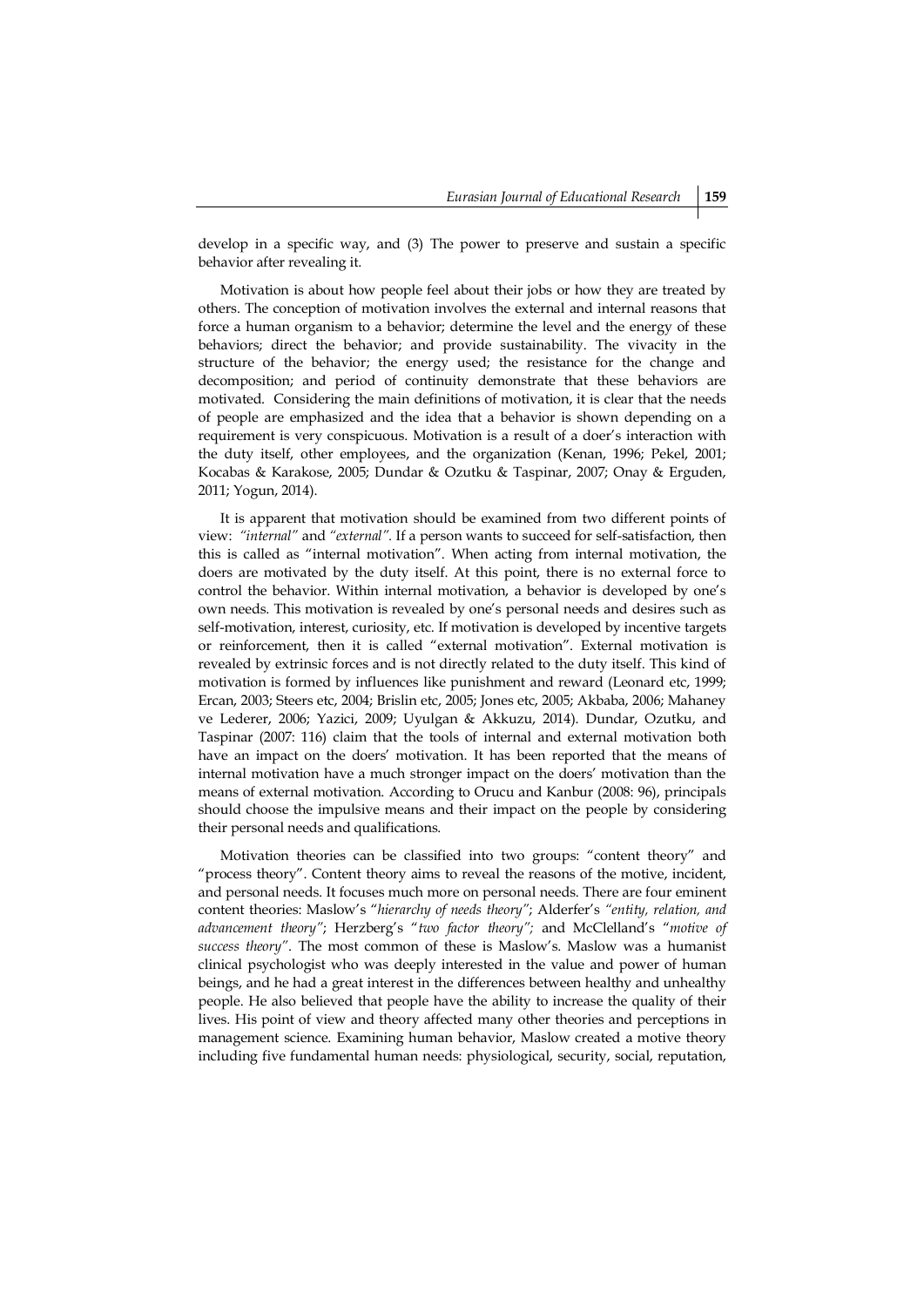develop in a specific way, and (3) The power to preserve and sustain a specific behavior after revealing it.

Motivation is about how people feel about their jobs or how they are treated by others. The conception of motivation involves the external and internal reasons that force a human organism to a behavior; determine the level and the energy of these behaviors; direct the behavior; and provide sustainability. The vivacity in the structure of the behavior; the energy used; the resistance for the change and decomposition; and period of continuity demonstrate that these behaviors are motivated. Considering the main definitions of motivation, it is clear that the needs of people are emphasized and the idea that a behavior is shown depending on a requirement is very conspicuous. Motivation is a result of a doer's interaction with the duty itself, other employees, and the organization (Kenan, 1996; Pekel, 2001; Kocabas & Karakose, 2005; Dundar & Ozutku & Taspinar, 2007; Onay & Erguden, 2011; Yogun, 2014).

It is apparent that motivation should be examined from two different points of view: *"internal"* and *"external".* If a person wants to succeed for self-satisfaction, then this is called as "internal motivation". When acting from internal motivation, the doers are motivated by the duty itself. At this point, there is no external force to control the behavior. Within internal motivation, a behavior is developed by one's own needs. This motivation is revealed by one's personal needs and desires such as self-motivation, interest, curiosity, etc. If motivation is developed by incentive targets or reinforcement, then it is called "external motivation". External motivation is revealed by extrinsic forces and is not directly related to the duty itself. This kind of motivation is formed by influences like punishment and reward (Leonard etc, 1999; Ercan, 2003; Steers etc, 2004; Brislin etc, 2005; Jones etc, 2005; Akbaba, 2006; Mahaney ve Lederer, 2006; Yazici, 2009; Uyulgan & Akkuzu, 2014). Dundar, Ozutku, and Taspinar (2007: 116) claim that the tools of internal and external motivation both have an impact on the doers' motivation. It has been reported that the means of internal motivation have a much stronger impact on the doers' motivation than the means of external motivation. According to Orucu and Kanbur (2008: 96), principals should choose the impulsive means and their impact on the people by considering their personal needs and qualifications.

Motivation theories can be classified into two groups: "content theory" and "process theory". Content theory aims to reveal the reasons of the motive, incident, and personal needs. It focuses much more on personal needs. There are four eminent content theories: Maslow's "*hierarchy of needs theory"*; Alderfer's *"entity, relation, and advancement theory"*; Herzberg's "*two factor theory";* and McClelland's "*motive of success theory"*. The most common of these is Maslow's. Maslow was a humanist clinical psychologist who was deeply interested in the value and power of human beings, and he had a great interest in the differences between healthy and unhealthy people. He also believed that people have the ability to increase the quality of their lives. His point of view and theory affected many other theories and perceptions in management science. Examining human behavior, Maslow created a motive theory including five fundamental human needs: physiological, security, social, reputation,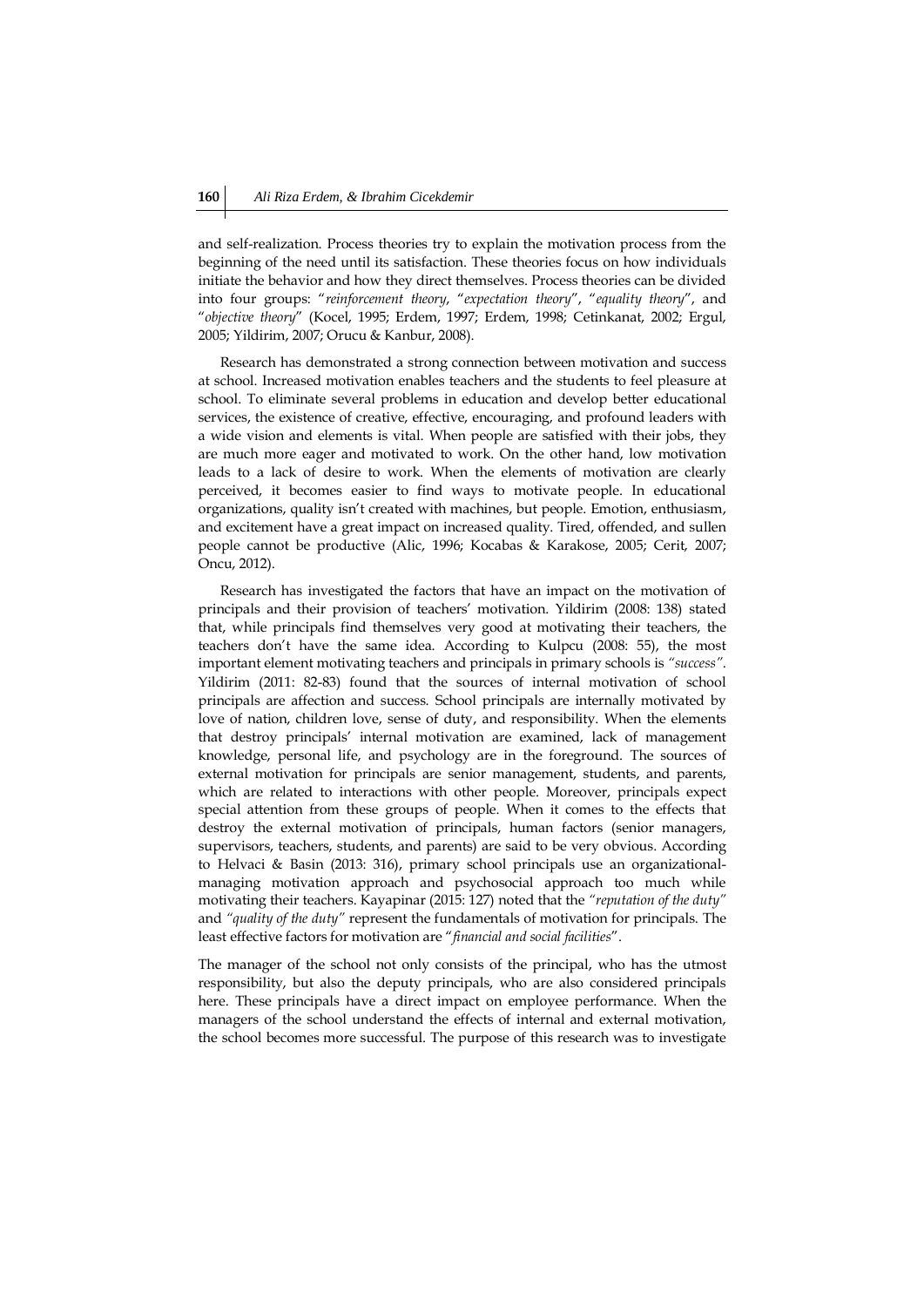and self-realization. Process theories try to explain the motivation process from the beginning of the need until its satisfaction. These theories focus on how individuals initiate the behavior and how they direct themselves. Process theories can be divided into four groups: "*reinforcement theory*, "*expectation theory*", "*equality theory*", and "*objective theory*" (Kocel, 1995; Erdem, 1997; Erdem, 1998; Cetinkanat, 2002; Ergul, 2005; Yildirim, 2007; Orucu & Kanbur, 2008).

Research has demonstrated a strong connection between motivation and success at school. Increased motivation enables teachers and the students to feel pleasure at school. To eliminate several problems in education and develop better educational services, the existence of creative, effective, encouraging, and profound leaders with a wide vision and elements is vital. When people are satisfied with their jobs, they are much more eager and motivated to work. On the other hand, low motivation leads to a lack of desire to work. When the elements of motivation are clearly perceived, it becomes easier to find ways to motivate people. In educational organizations, quality isn't created with machines, but people. Emotion, enthusiasm, and excitement have a great impact on increased quality. Tired, offended, and sullen people cannot be productive (Alic, 1996; Kocabas & Karakose, 2005; Cerit, 2007; Oncu, 2012).

Research has investigated the factors that have an impact on the motivation of principals and their provision of teachers' motivation. Yildirim (2008: 138) stated that, while principals find themselves very good at motivating their teachers, the teachers don't have the same idea. According to Kulpcu (2008: 55), the most important element motivating teachers and principals in primary schools is *"success"*. Yildirim (2011: 82-83) found that the sources of internal motivation of school principals are affection and success. School principals are internally motivated by love of nation, children love, sense of duty, and responsibility. When the elements that destroy principals' internal motivation are examined, lack of management knowledge, personal life, and psychology are in the foreground. The sources of external motivation for principals are senior management, students, and parents, which are related to interactions with other people. Moreover, principals expect special attention from these groups of people. When it comes to the effects that destroy the external motivation of principals, human factors (senior managers, supervisors, teachers, students, and parents) are said to be very obvious. According to Helvaci & Basin (2013: 316), primary school principals use an organizationalmanaging motivation approach and psychosocial approach too much while motivating their teachers. Kayapinar (2015: 127) noted that the *"reputation of the duty"* and *"quality of the duty"* represent the fundamentals of motivation for principals. The least effective factors for motivation are "*financial and social facilities*".

The manager of the school not only consists of the principal, who has the utmost responsibility, but also the deputy principals, who are also considered principals here. These principals have a direct impact on employee performance. When the managers of the school understand the effects of internal and external motivation, the school becomes more successful. The purpose of this research was to investigate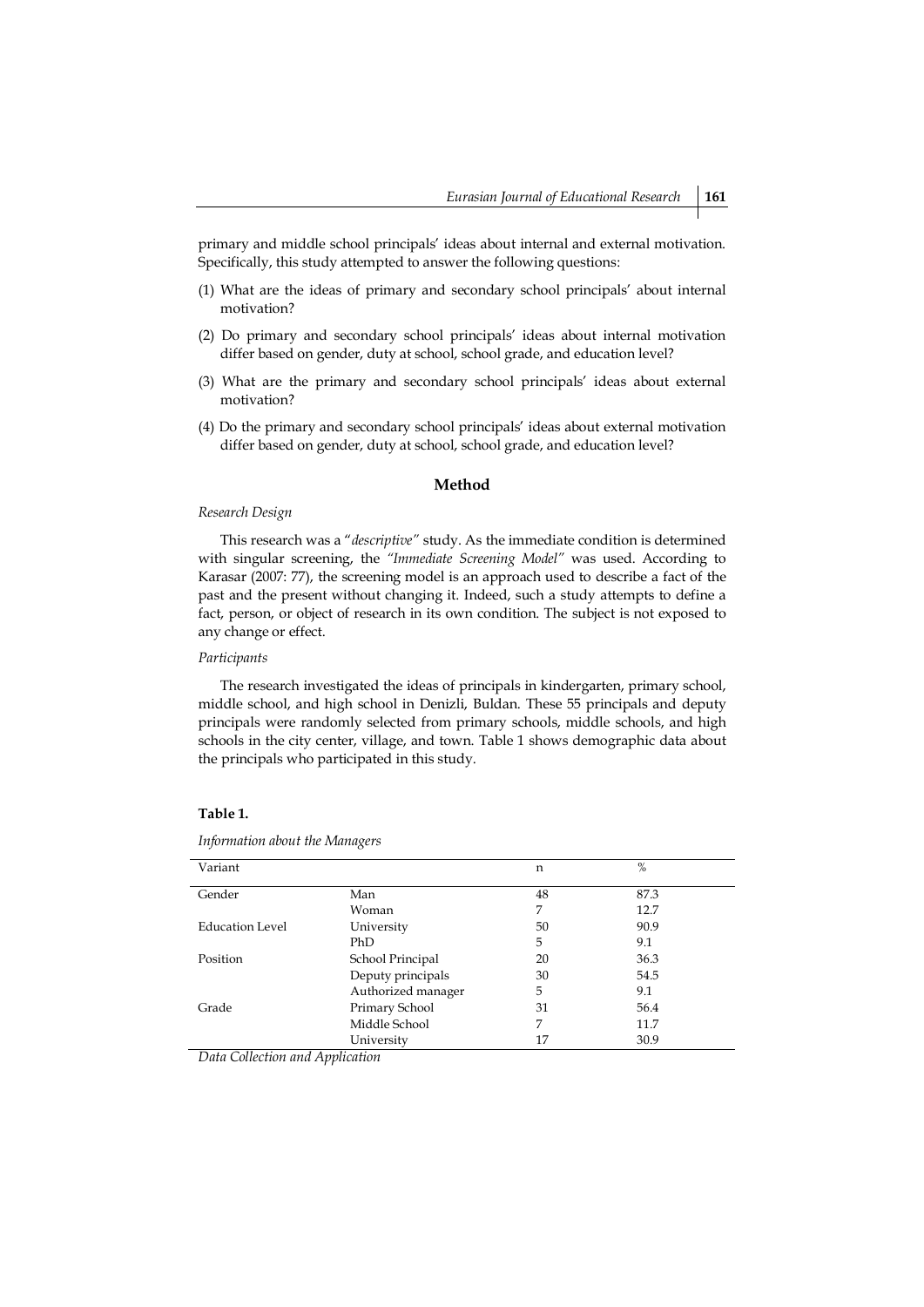primary and middle school principals' ideas about internal and external motivation. Specifically, this study attempted to answer the following questions:

- (1) What are the ideas of primary and secondary school principals' about internal motivation?
- (2) Do primary and secondary school principals' ideas about internal motivation differ based on gender, duty at school, school grade, and education level?
- (3) What are the primary and secondary school principals' ideas about external motivation?
- (4) Do the primary and secondary school principals' ideas about external motivation differ based on gender, duty at school, school grade, and education level?

### **Method**

#### *Research Design*

This research was a "*descriptive"* study. As the immediate condition is determined with singular screening, the *"Immediate Screening Model"* was used. According to Karasar (2007: 77), the screening model is an approach used to describe a fact of the past and the present without changing it. Indeed, such a study attempts to define a fact, person, or object of research in its own condition. The subject is not exposed to any change or effect.

### *Participants*

The research investigated the ideas of principals in kindergarten, primary school, middle school, and high school in Denizli, Buldan. These 55 principals and deputy principals were randomly selected from primary schools, middle schools, and high schools in the city center, village, and town. Table 1 shows demographic data about the principals who participated in this study.

### **Table 1.**

| Variant         |                    | n  | $\%$ |
|-----------------|--------------------|----|------|
| Gender          | Man                | 48 | 87.3 |
|                 | Woman              | 7  | 12.7 |
| Education Level | University         | 50 | 90.9 |
|                 | PhD                | 5  | 9.1  |
| Position        | School Principal   | 20 | 36.3 |
|                 | Deputy principals  | 30 | 54.5 |
|                 | Authorized manager | 5  | 9.1  |
| Grade           | Primary School     | 31 | 56.4 |
|                 | Middle School      | 7  | 11.7 |
|                 | University         | 17 | 30.9 |

*Information about the Managers*

*Data Collection and Application*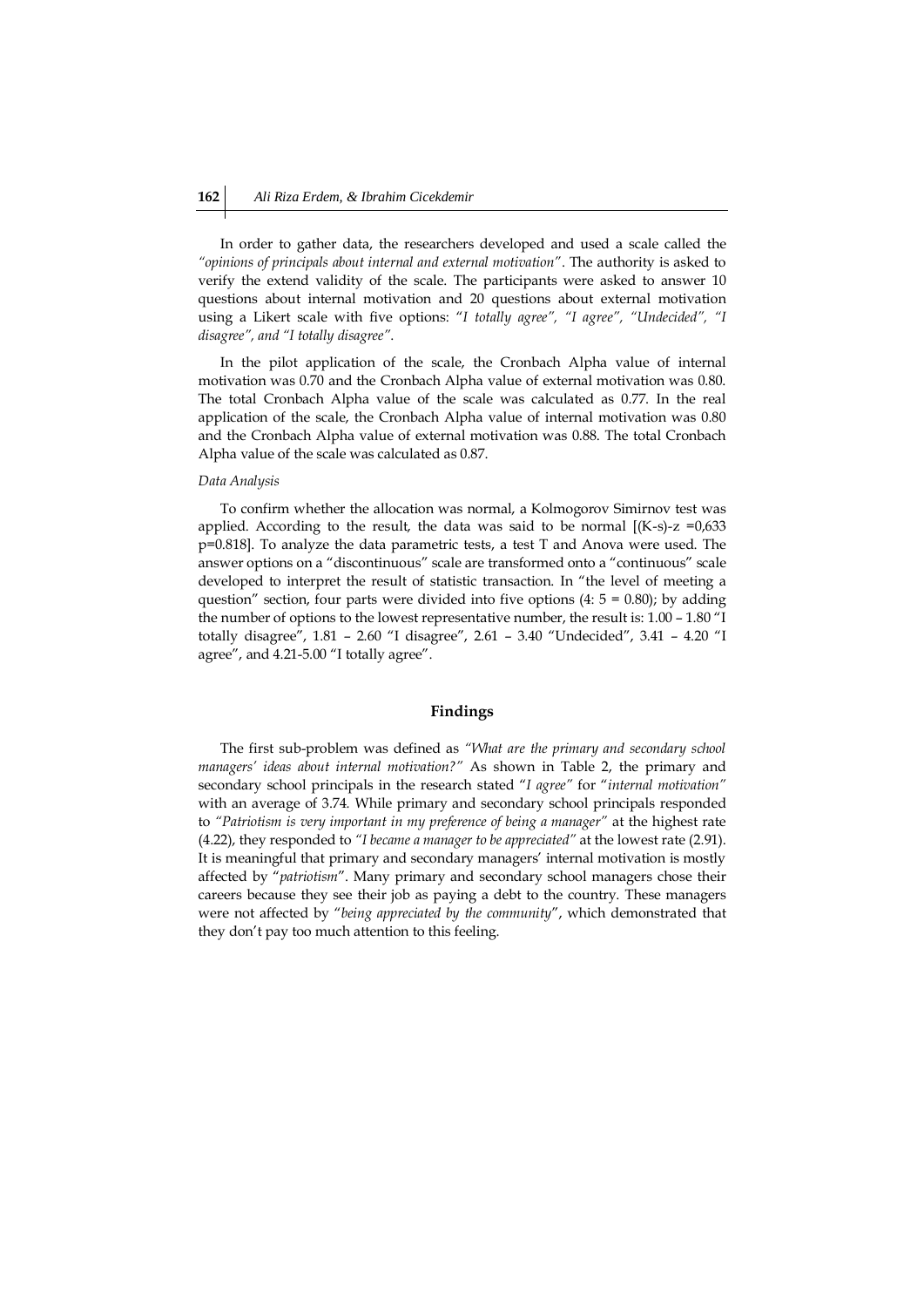In order to gather data, the researchers developed and used a scale called the *"opinions of principals about internal and external motivation"*. The authority is asked to verify the extend validity of the scale. The participants were asked to answer 10 questions about internal motivation and 20 questions about external motivation using a Likert scale with five options: "*I totally agree", "I agree", "Undecided", "I disagree", and "I totally disagree"*.

In the pilot application of the scale, the Cronbach Alpha value of internal motivation was 0.70 and the Cronbach Alpha value of external motivation was 0.80. The total Cronbach Alpha value of the scale was calculated as 0.77. In the real application of the scale, the Cronbach Alpha value of internal motivation was 0.80 and the Cronbach Alpha value of external motivation was 0.88. The total Cronbach Alpha value of the scale was calculated as 0.87.

#### *Data Analysis*

To confirm whether the allocation was normal, a Kolmogorov Simirnov test was applied. According to the result, the data was said to be normal  $[(K-s)-z]$  =0,633 p=0.818]. To analyze the data parametric tests, a test T and Anova were used. The answer options on a "discontinuous" scale are transformed onto a "continuous" scale developed to interpret the result of statistic transaction. In "the level of meeting a question" section, four parts were divided into five options  $(4: 5 = 0.80)$ ; by adding the number of options to the lowest representative number, the result is: 1.00 – 1.80 "I totally disagree", 1.81 – 2.60 "I disagree", 2.61 – 3.40 "Undecided", 3.41 – 4.20 "I agree", and 4.21-5.00 "I totally agree".

### **Findings**

The first sub-problem was defined as *"What are the primary and secondary school managers' ideas about internal motivation?"* As shown in Table 2, the primary and secondary school principals in the research stated "*I agree"* for "*internal motivation"*  with an average of 3.74*.* While primary and secondary school principals responded to *"Patriotism is very important in my preference of being a manager"* at the highest rate (4.22), they responded to *"I became a manager to be appreciated"* at the lowest rate (2.91). It is meaningful that primary and secondary managers' internal motivation is mostly affected by "*patriotism*". Many primary and secondary school managers chose their careers because they see their job as paying a debt to the country. These managers were not affected by "*being appreciated by the community*", which demonstrated that they don't pay too much attention to this feeling.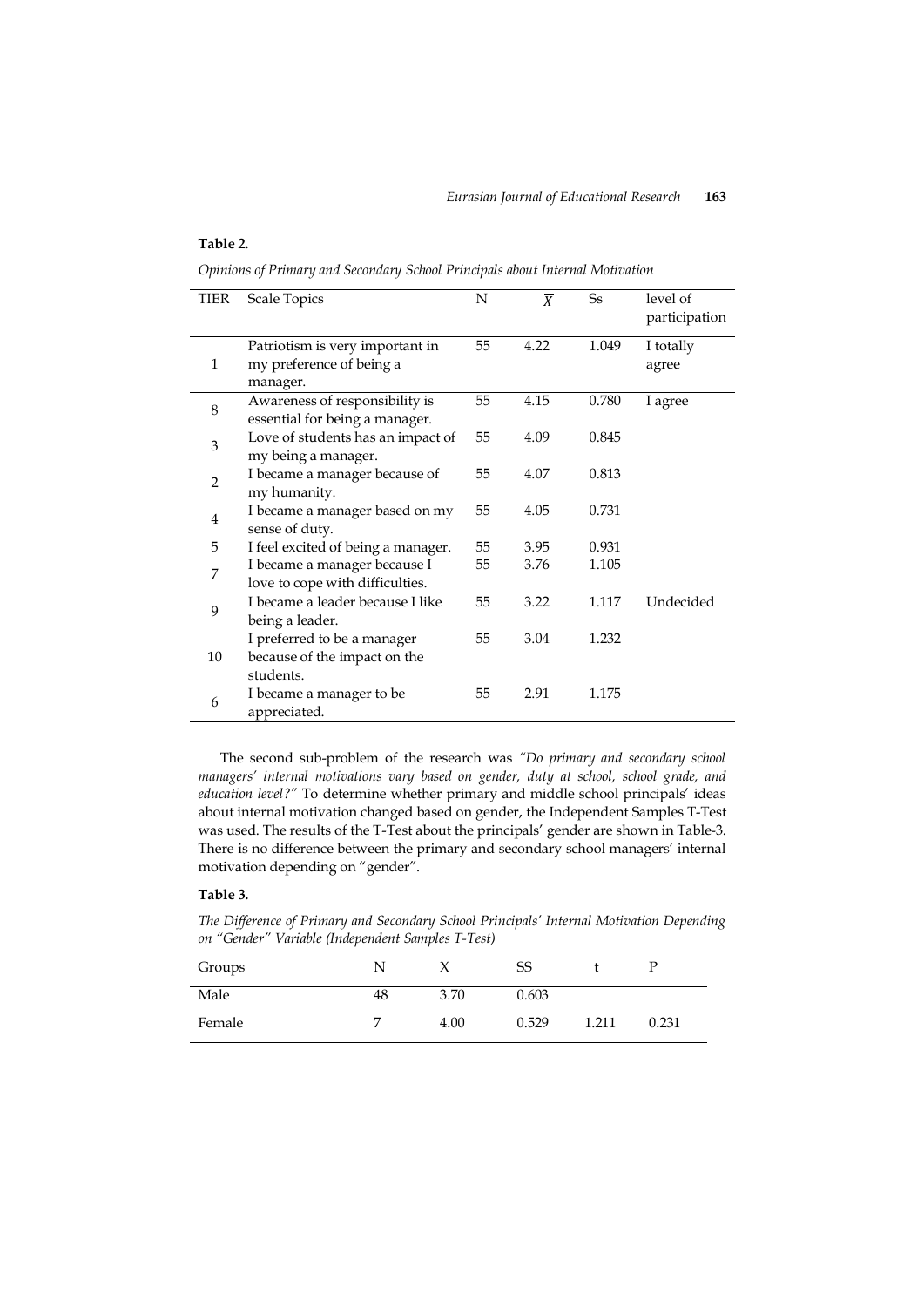### **Table 2.**

*Opinions of Primary and Secondary School Principals about Internal Motivation*

| TIER           | <b>Scale Topics</b>                | $\mathbf N$ | $\overline{X}$ | <b>Ss</b> | level of<br>participation |
|----------------|------------------------------------|-------------|----------------|-----------|---------------------------|
|                | Patriotism is very important in    | 55          | 4.22           | 1.049     | I totally                 |
| 1              | my preference of being a           |             |                |           | agree                     |
|                | manager.                           |             |                |           |                           |
| 8              | Awareness of responsibility is     | 55          | 4.15           | 0.780     | I agree                   |
|                | essential for being a manager.     |             |                |           |                           |
| 3              | Love of students has an impact of  | 55          | 4.09           | 0.845     |                           |
|                | my being a manager.                |             |                |           |                           |
| $\overline{2}$ | I became a manager because of      | 55          | 4.07           | 0.813     |                           |
|                | my humanity.                       |             |                |           |                           |
| 4              | I became a manager based on my     | 55          | 4.05           | 0.731     |                           |
|                | sense of duty.                     |             |                |           |                           |
| 5              | I feel excited of being a manager. | 55          | 3.95           | 0.931     |                           |
| 7              | I became a manager because I       | 55          | 3.76           | 1.105     |                           |
|                | love to cope with difficulties.    |             |                |           |                           |
| 9              | I became a leader because I like   | 55          | 3.22           | 1.117     | Undecided                 |
|                | being a leader.                    |             |                |           |                           |
|                | I preferred to be a manager        | 55          | 3.04           | 1.232     |                           |
| 10             | because of the impact on the       |             |                |           |                           |
|                | students.                          |             |                |           |                           |
| 6              | I became a manager to be           | 55          | 2.91           | 1.175     |                           |
|                | appreciated.                       |             |                |           |                           |

The second sub-problem of the research was *"Do primary and secondary school managers' internal motivations vary based on gender, duty at school, school grade, and education level?"* To determine whether primary and middle school principals' ideas about internal motivation changed based on gender, the Independent Samples T-Test was used. The results of the T-Test about the principals' gender are shown in Table-3. There is no difference between the primary and secondary school managers' internal motivation depending on "gender".

## **Table 3.**

*The Difference of Primary and Secondary School Principals' Internal Motivation Depending on "Gender" Variable (Independent Samples T-Test)* 

| Groups |    |      | SS    |       | D     |
|--------|----|------|-------|-------|-------|
| Male   | 48 | 3.70 | 0.603 |       |       |
| Female |    | 4.00 | 0.529 | 1.211 | 0.231 |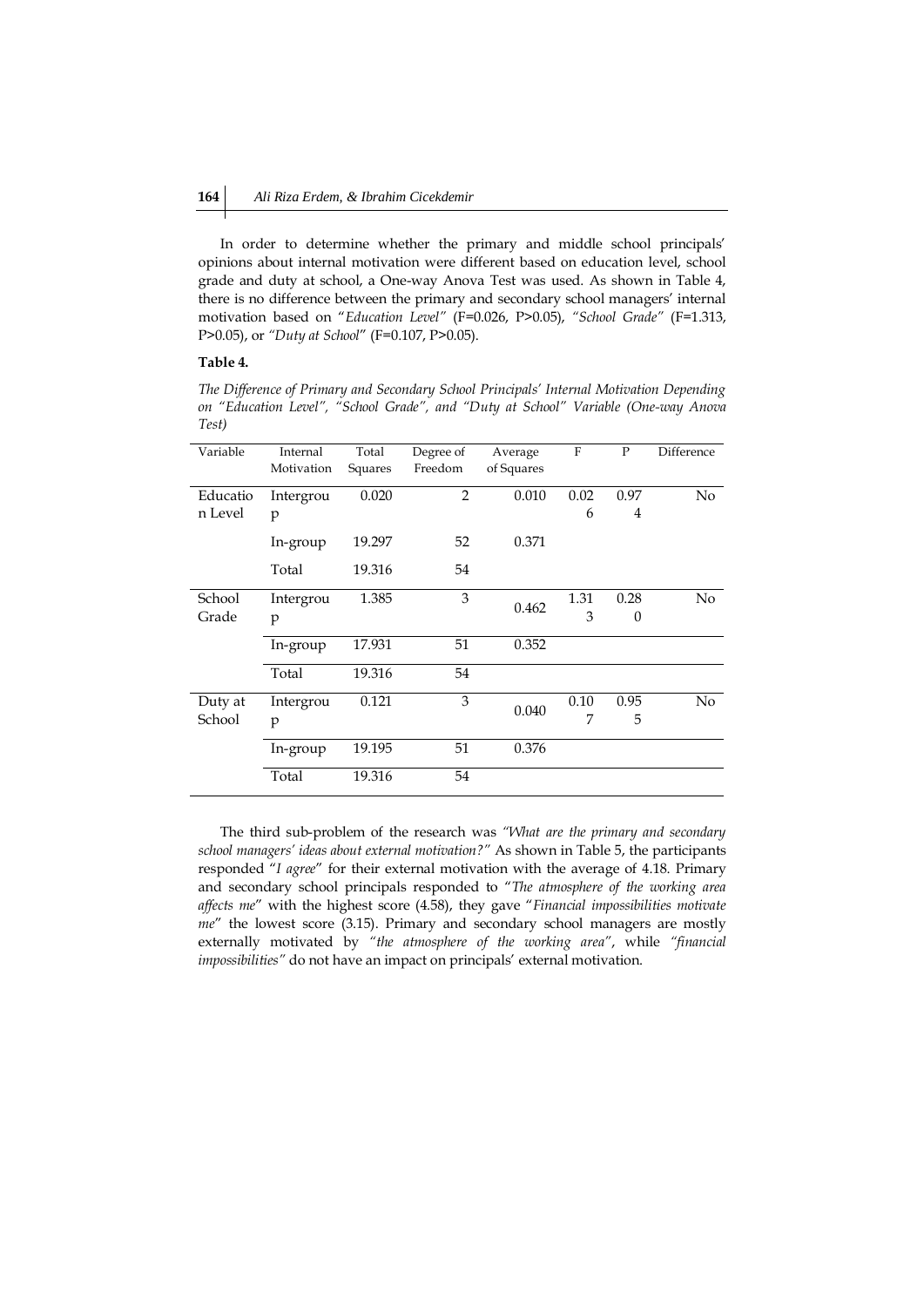In order to determine whether the primary and middle school principals' opinions about internal motivation were different based on education level, school grade and duty at school, a One-way Anova Test was used. As shown in Table 4, there is no difference between the primary and secondary school managers' internal motivation based on "*Education Level"* (F=0.026, P>0.05), *"School Grade"* (F=1.313, P>0.05), or *"Duty at School*" (F=0.107, P>0.05).

### **Table 4.**

*The Difference of Primary and Secondary School Principals' Internal Motivation Depending on "Education Level", "School Grade", and "Duty at School" Variable (One-way Anova Test)*

| Variable | Internal   | Total   | Degree of      | Average    | F    | P              | Difference     |
|----------|------------|---------|----------------|------------|------|----------------|----------------|
|          | Motivation | Squares | Freedom        | of Squares |      |                |                |
|          |            |         |                |            |      |                |                |
| Educatio | Intergrou  | 0.020   | $\overline{2}$ | 0.010      | 0.02 | 0.97           | No             |
| n Level  | p          |         |                |            | 6    | $\overline{4}$ |                |
|          |            |         |                |            |      |                |                |
|          | In-group   | 19.297  | 52             | 0.371      |      |                |                |
|          |            |         |                |            |      |                |                |
|          | Total      | 19.316  | 54             |            |      |                |                |
|          |            |         |                |            |      |                |                |
| School   | Intergrou  | 1.385   | 3              |            | 1.31 | 0.28           | N <sub>0</sub> |
| Grade    | p          |         |                | 0.462      | 3    | $\theta$       |                |
|          |            |         |                |            |      |                |                |
|          | In-group   | 17.931  | 51             | 0.352      |      |                |                |
|          |            |         |                |            |      |                |                |
|          | Total      | 19.316  | 54             |            |      |                |                |
|          |            |         |                |            |      |                |                |
| Duty at  | Intergrou  | 0.121   | 3              |            | 0.10 | 0.95           | N <sub>0</sub> |
| School   | p          |         |                | 0.040      | 7    | 5              |                |
|          |            |         |                |            |      |                |                |
|          | In-group   | 19.195  | 51             | 0.376      |      |                |                |
|          |            |         |                |            |      |                |                |
|          | Total      | 19.316  | 54             |            |      |                |                |
|          |            |         |                |            |      |                |                |

The third sub-problem of the research was *"What are the primary and secondary school managers' ideas about external motivation?"* As shown in Table 5, the participants responded "*I agree*" for their external motivation with the average of 4.18. Primary and secondary school principals responded to "*The atmosphere of the working area affects me*" with the highest score (4.58), they gave "*Financial impossibilities motivate me*" the lowest score (3.15). Primary and secondary school managers are mostly externally motivated by *"the atmosphere of the working area"*, while *"financial impossibilities"* do not have an impact on principals' external motivation.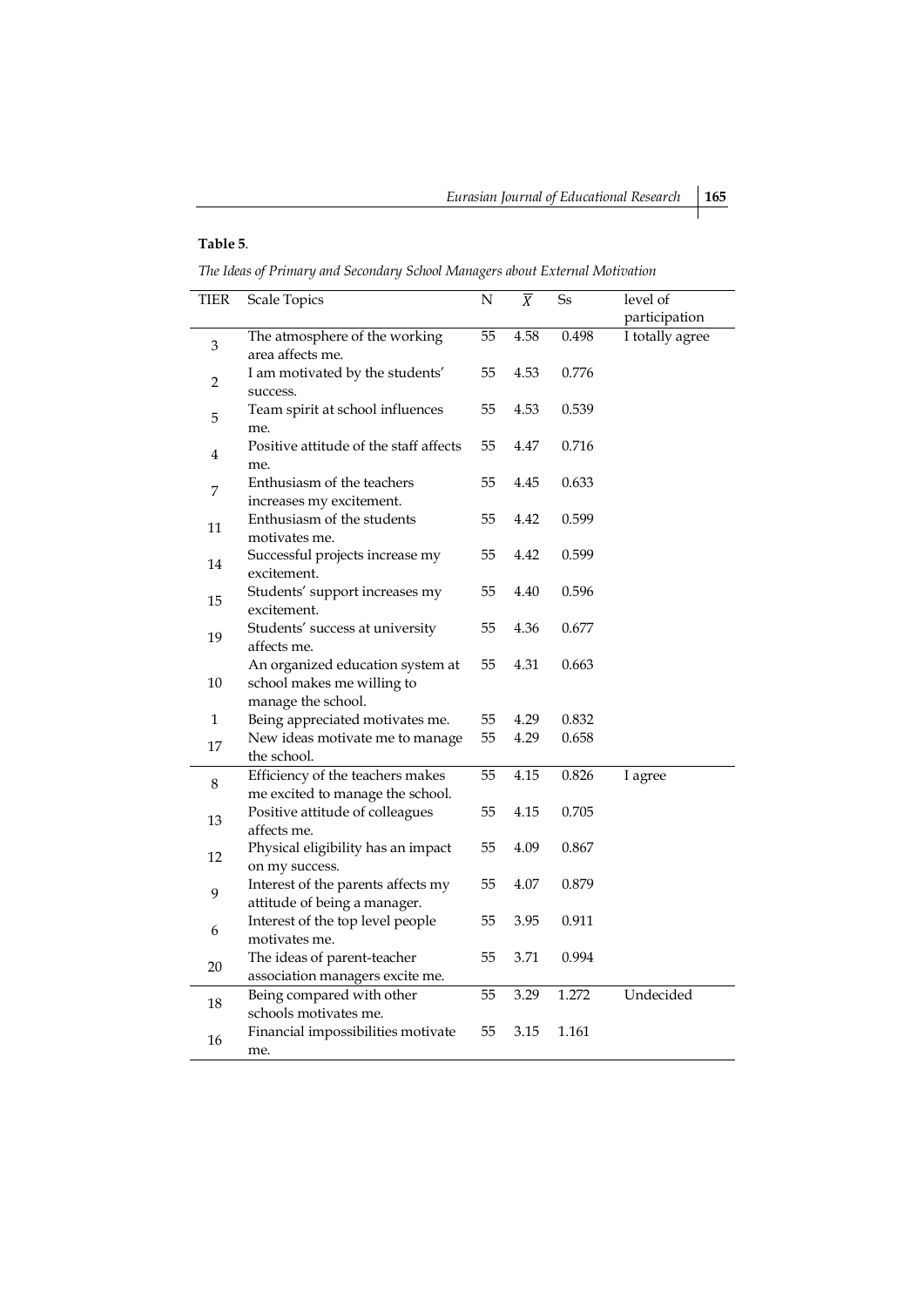## **Table 5**.

*The Ideas of Primary and Secondary School Managers about External Motivation*

| <b>TIER</b>               | <b>Scale Topics</b>                    | N  | $\overline{X}$ | $\rm{Ss}$ | level of        |
|---------------------------|----------------------------------------|----|----------------|-----------|-----------------|
|                           |                                        |    |                |           | participation   |
|                           | The atmosphere of the working          | 55 | 4.58           | 0.498     | I totally agree |
| $\ensuremath{\mathsf{3}}$ | area affects me.                       |    |                |           |                 |
|                           | I am motivated by the students'        | 55 | 4.53           | 0.776     |                 |
| 2                         | success.                               |    |                |           |                 |
|                           | Team spirit at school influences       | 55 | 4.53           | 0.539     |                 |
| 5                         | me.                                    |    |                |           |                 |
|                           | Positive attitude of the staff affects | 55 | 4.47           | 0.716     |                 |
| 4                         | me.                                    |    |                |           |                 |
|                           | Enthusiasm of the teachers             | 55 | 4.45           | 0.633     |                 |
| 7                         | increases my excitement.               |    |                |           |                 |
|                           | Enthusiasm of the students             | 55 | 4.42           | 0.599     |                 |
| 11                        | motivates me.                          |    |                |           |                 |
|                           |                                        | 55 | 4.42           | 0.599     |                 |
| 14                        | Successful projects increase my        |    |                |           |                 |
|                           | excitement.                            |    |                |           |                 |
| 15                        | Students' support increases my         | 55 | 4.40           | 0.596     |                 |
|                           | excitement.                            |    |                |           |                 |
| 19                        | Students' success at university        | 55 | 4.36           | 0.677     |                 |
|                           | affects me.                            |    |                |           |                 |
|                           | An organized education system at       | 55 | 4.31           | 0.663     |                 |
| 10                        | school makes me willing to             |    |                |           |                 |
|                           | manage the school.                     |    |                |           |                 |
| $\mathbf{1}$              | Being appreciated motivates me.        | 55 | 4.29           | 0.832     |                 |
| 17                        | New ideas motivate me to manage        | 55 | 4.29           | 0.658     |                 |
|                           | the school.                            |    |                |           |                 |
| 8                         | Efficiency of the teachers makes       | 55 | 4.15           | 0.826     | I agree         |
|                           | me excited to manage the school.       |    |                |           |                 |
| 13                        | Positive attitude of colleagues        | 55 | 4.15           | 0.705     |                 |
|                           | affects me.                            |    |                |           |                 |
| 12                        | Physical eligibility has an impact     | 55 | 4.09           | 0.867     |                 |
|                           | on my success.                         |    |                |           |                 |
| 9                         | Interest of the parents affects my     | 55 | 4.07           | 0.879     |                 |
|                           | attitude of being a manager.           |    |                |           |                 |
| 6                         | Interest of the top level people       | 55 | 3.95           | 0.911     |                 |
|                           | motivates me.                          |    |                |           |                 |
|                           | The ideas of parent-teacher            | 55 | 3.71           | 0.994     |                 |
| 20                        | association managers excite me.        |    |                |           |                 |
|                           | Being compared with other              | 55 | 3.29           | 1.272     | Undecided       |
| $18\,$                    | schools motivates me.                  |    |                |           |                 |
| 16                        | Financial impossibilities motivate     | 55 | 3.15           | 1.161     |                 |
|                           | me.                                    |    |                |           |                 |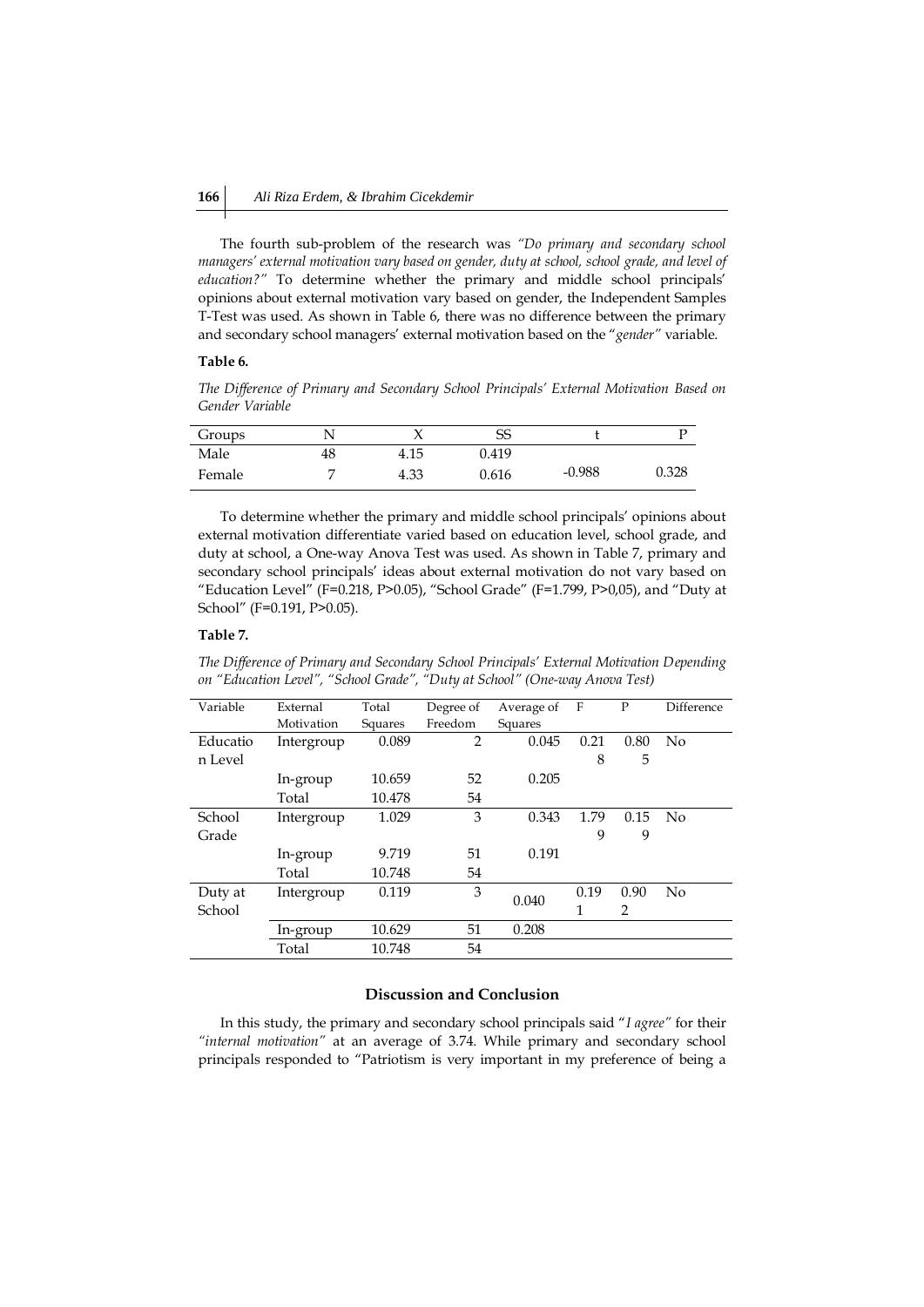The fourth sub-problem of the research was *"Do primary and secondary school managers' external motivation vary based on gender, duty at school, school grade, and level of education?"* To determine whether the primary and middle school principals' opinions about external motivation vary based on gender, the Independent Samples T-Test was used. As shown in Table 6, there was no difference between the primary and secondary school managers' external motivation based on the "*gender"* variable.

### **Table 6.**

*The Difference of Primary and Secondary School Principals' External Motivation Based on Gender Variable*

| Groups |    |      | SS    |          |       |
|--------|----|------|-------|----------|-------|
| Male   | 48 | 4.15 | 0.419 |          |       |
| Female |    | 4.33 | 0.616 | $-0.988$ | 0.328 |

To determine whether the primary and middle school principals' opinions about external motivation differentiate varied based on education level, school grade, and duty at school, a One-way Anova Test was used. As shown in Table 7, primary and secondary school principals' ideas about external motivation do not vary based on "Education Level" (F=0.218, P>0.05), "School Grade" (F=1.799, P>0,05), and "Duty at School" (F=0.191, P>0.05).

### **Table 7.**

*The Difference of Primary and Secondary School Principals' External Motivation Depending on "Education Level", "School Grade", "Duty at School" (One-way Anova Test)*

| Variable | External   | Total   | Degree of      | Average of | F    | P    | Difference |
|----------|------------|---------|----------------|------------|------|------|------------|
|          | Motivation | Squares | Freedom        | Squares    |      |      |            |
| Educatio | Intergroup | 0.089   | $\overline{2}$ | 0.045      | 0.21 | 0.80 | No         |
| n Level  |            |         |                |            | 8    | 5    |            |
|          | In-group   | 10.659  | 52             | 0.205      |      |      |            |
|          | Total      | 10.478  | 54             |            |      |      |            |
| School   | Intergroup | 1.029   | 3              | 0.343      | 1.79 | 0.15 | No         |
| Grade    |            |         |                |            | 9    | 9    |            |
|          | In-group   | 9.719   | 51             | 0.191      |      |      |            |
|          | Total      | 10.748  | 54             |            |      |      |            |
| Duty at  | Intergroup | 0.119   | 3              |            | 0.19 | 0.90 | No         |
| School   |            |         |                | 0.040      | 1    | 2    |            |
|          | In-group   | 10.629  | 51             | 0.208      |      |      |            |
|          | Total      | 10.748  | 54             |            |      |      |            |

## **Discussion and Conclusion**

In this study, the primary and secondary school principals said "*I agree"* for their *"internal motivation"* at an average of 3.74. While primary and secondary school principals responded to "Patriotism is very important in my preference of being a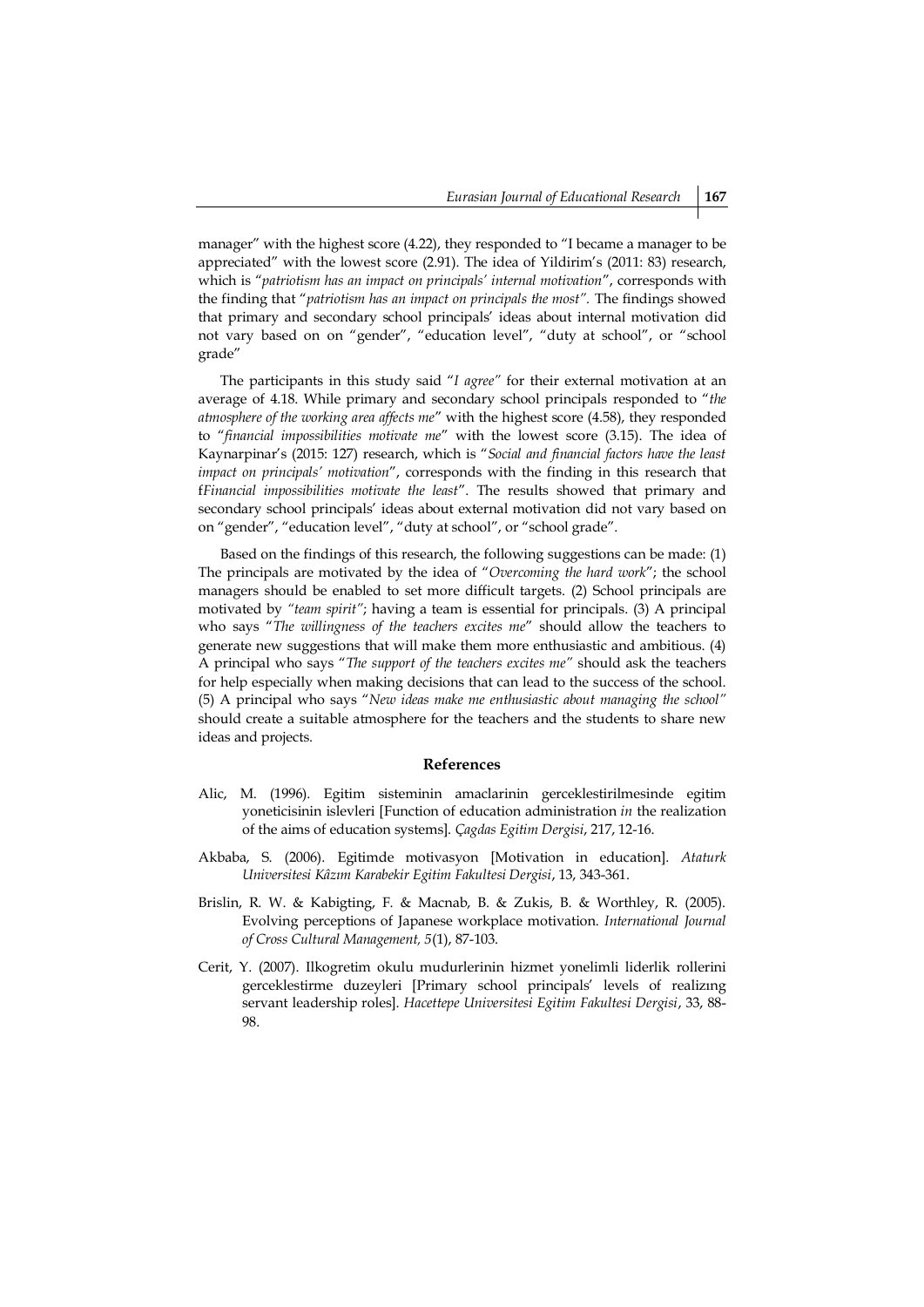manager" with the highest score (4.22), they responded to "I became a manager to be appreciated" with the lowest score (2.91). The idea of Yildirim's (2011: 83) research, which is "*patriotism has an impact on principals' internal motivation*", corresponds with the finding that "*patriotism has an impact on principals the most".* The findings showed that primary and secondary school principals' ideas about internal motivation did not vary based on on "gender", "education level", "duty at school", or "school grade"

The participants in this study said "*I agree"* for their external motivation at an average of 4.18. While primary and secondary school principals responded to "*the atmosphere of the working area affects me*" with the highest score (4.58), they responded to "*financial impossibilities motivate me*" with the lowest score (3.15). The idea of Kaynarpinar's (2015: 127) research, which is "*Social and financial factors have the least impact on principals' motivation*", corresponds with the finding in this research that f*Financial impossibilities motivate the least*". The results showed that primary and secondary school principals' ideas about external motivation did not vary based on on "gender", "education level", "duty at school", or "school grade".

Based on the findings of this research, the following suggestions can be made: (1) The principals are motivated by the idea of "*Overcoming the hard work*"; the school managers should be enabled to set more difficult targets. (2) School principals are motivated by *"team spirit"*; having a team is essential for principals. (3) A principal who says "*The willingness of the teachers excites me*" should allow the teachers to generate new suggestions that will make them more enthusiastic and ambitious. (4) A principal who says "*The support of the teachers excites me"* should ask the teachers for help especially when making decisions that can lead to the success of the school. (5) A principal who says "*New ideas make me enthusiastic about managing the school"*  should create a suitable atmosphere for the teachers and the students to share new ideas and projects.

#### **References**

- Alic, M. (1996). Egitim sisteminin amaclarinin gerceklestirilmesinde egitim yoneticisinin islevleri [Function of education administration *in* the realization of the aims of education systems]. *Çagdas Egitim Dergisi*, 217, 12-16.
- Akbaba, S. (2006). Egitimde motivasyon [Motivation in education]. *Ataturk Universitesi Kâzım Karabekir Egitim Fakultesi Dergisi*, 13, 343-361.
- Brislin, R. W. & Kabigting, F. & Macnab, B. & Zukis, B. & Worthley, R. (2005). Evolving perceptions of Japanese workplace motivation. *International Journal of Cross Cultural Management, 5*(1), 87-103.
- Cerit, Y. (2007). Ilkogretim okulu mudurlerinin hizmet yonelimli liderlik rollerini gerceklestirme duzeyleri [Primary school principals' levels of realizıng servant leadership roles]. *Hacettepe Universitesi Egitim Fakultesi Dergisi*, 33, 88- 98.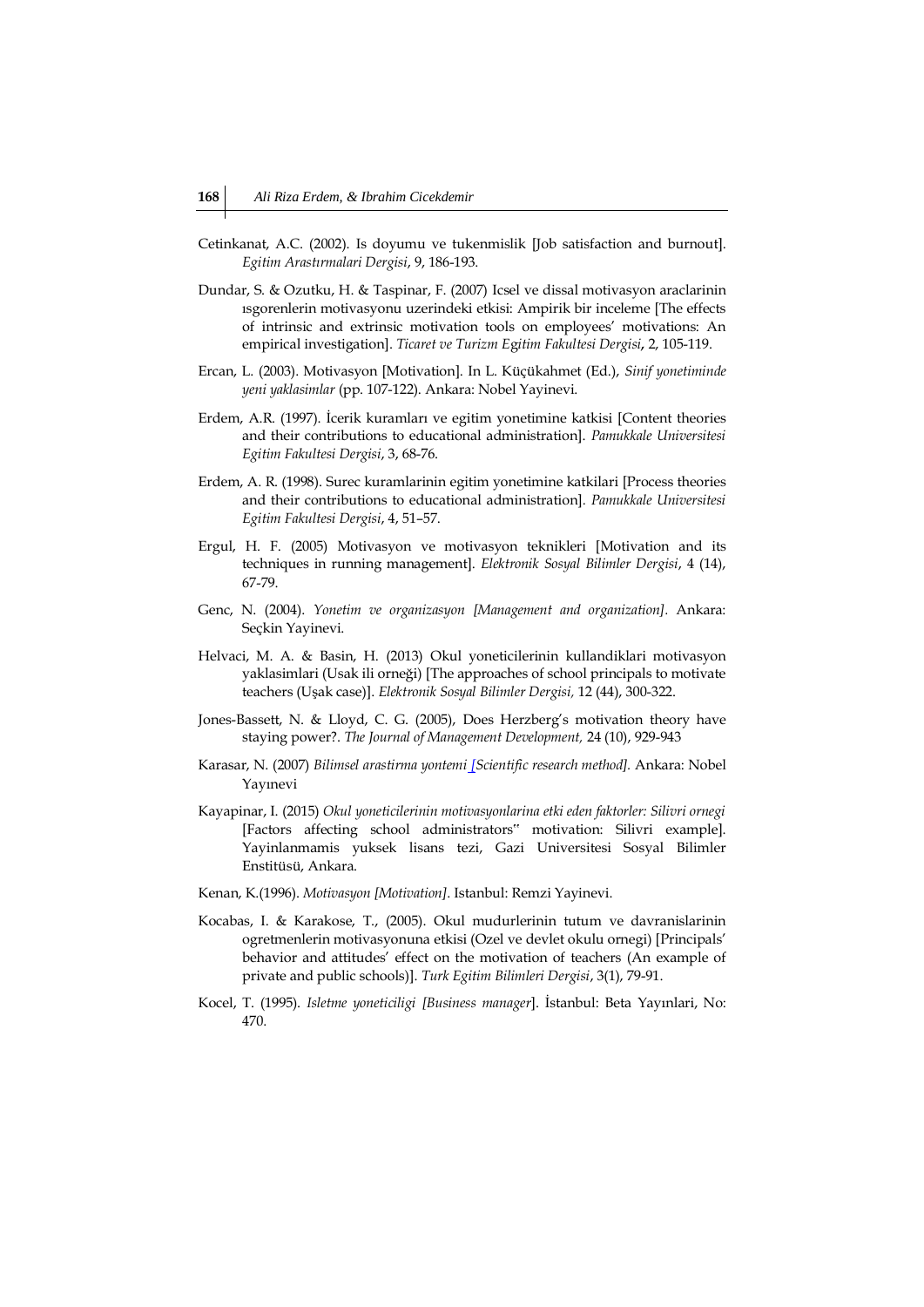- Cetinkanat, A.C. (2002). Is doyumu ve tukenmislik [Job satisfaction and burnout]. *Egitim Arastırmalari Dergisi*, 9, 186-193.
- Dundar, S. & Ozutku, H. & Taspinar, F. (2007) Icsel ve dissal motivasyon araclarinin ısgorenlerin motivasyonu uzerindeki etkisi: Ampirik bir inceleme [The effects of intrinsic and extrinsic motivation tools on employees' motivations: An empirical investigation]. *Ticaret ve Turizm E*g*itim Fakultesi Dergisi,* 2, 105-119.
- Ercan, L. (2003). Motivasyon [Motivation]. In L. Küçükahmet (Ed.), *Sinif yonetiminde yeni yaklasimlar* (pp. 107-122). Ankara: Nobel Yayinevi.
- Erdem, A.R. (1997). İcerik kuramları ve egitim yonetimine katkisi [Content theories and their contributions to educational administration]. *Pamukkale Universitesi Egitim Fakultesi Dergisi*, 3, 68-76.
- Erdem, A. R. (1998). Surec kuramlarinin egitim yonetimine katkilari [Process theories and their contributions to educational administration]*. Pamukkale Universitesi Egitim Fakultesi Dergisi*, 4, 51–57.
- Ergul, H. F. (2005) Motivasyon ve motivasyon teknikleri [Motivation and its techniques in running management]. *Elektronik Sosyal Bilimler Dergisi*, 4 (14), 67-79.
- Genc, N. (2004). *Yonetim ve organizasyon [Management and organization].* Ankara: Seçkin Yayinevi.
- Helvaci, M. A. & Basin, H. (2013) Okul yoneticilerinin kullandiklari motivasyon yaklasimlari (Usak ili orneği) [The approaches of school principals to motivate teachers (Uşak case)]. *Elektronik Sosyal Bilimler Dergisi,* 12 (44), 300-322.
- Jones-Bassett, N. & Lloyd, C. G. (2005), Does Herzberg's motivation theory have staying power?. *The Journal of Management Development,* 24 (10), 929-943
- Karasar, N. (2007) *Bilimsel arastirma yontemi [Scientific research method].* Ankara: Nobel Yayınevi
- Kayapinar, I. (2015) *Okul yoneticilerinin motivasyonlarina etki eden faktorler: Silivri ornegi* [Factors affecting school administrators" motivation: Silivri example]. Yayinlanmamis yuksek lisans tezi, Gazi Universitesi Sosyal Bilimler Enstitüsü, Ankara.
- Kenan, K.(1996). *Motivasyon [Motivation]*. Istanbul: Remzi Yayinevi.
- Kocabas, I. & Karakose, T., (2005). Okul mudurlerinin tutum ve davranislarinin ogretmenlerin motivasyonuna etkisi (Ozel ve devlet okulu ornegi) [Principals' behavior and attitudes' effect on the motivation of teachers (An example of private and public schools)]. *Turk Egitim Bilimleri Dergisi*, 3(1), 79-91.
- Kocel, T. (1995). *Isletme yoneticiligi [Business manager*]. İstanbul: Beta Yayınlari, No: 470.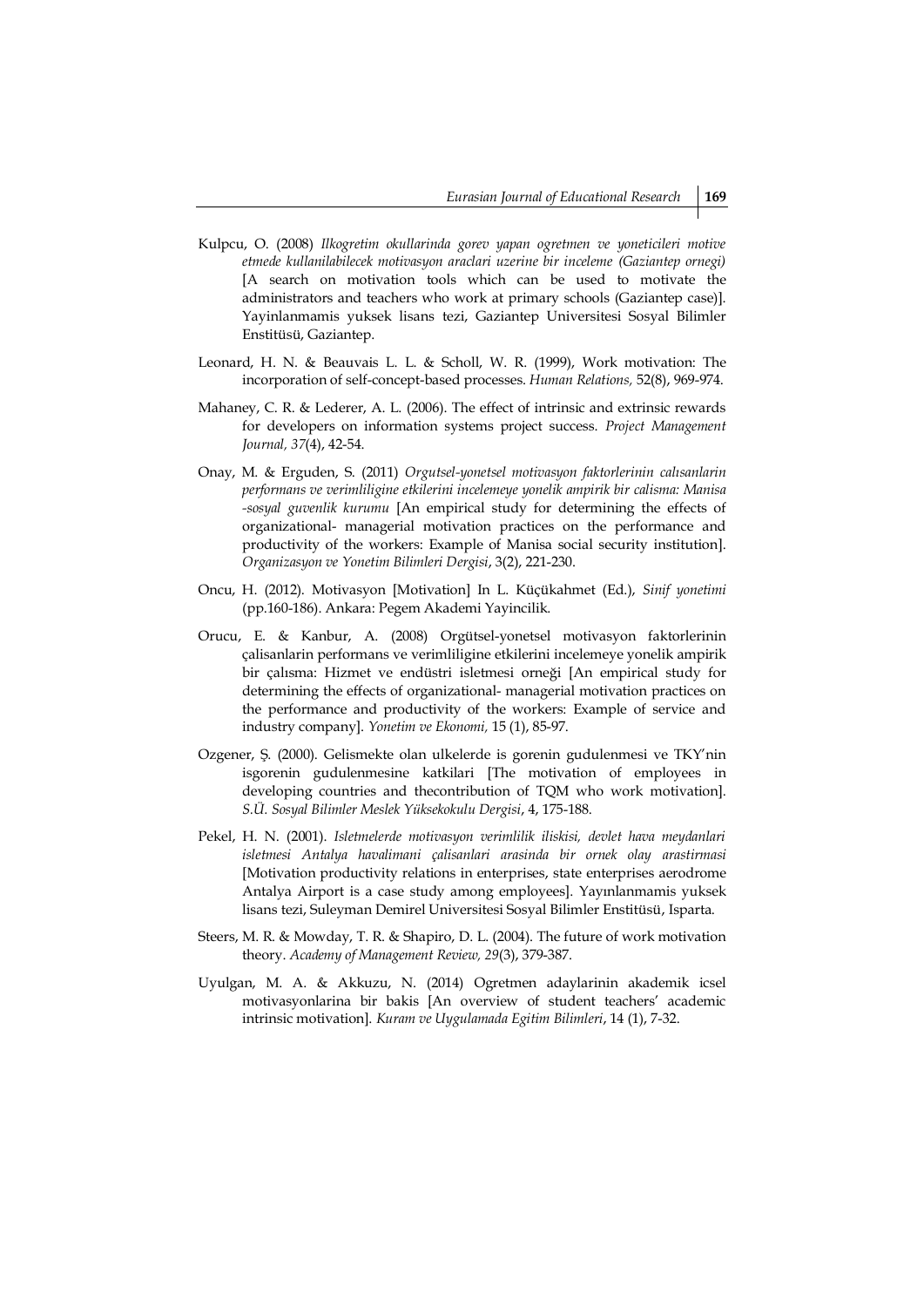- Kulpcu, O. (2008) *Ilkogretim okullarinda gorev yapan ogretmen ve yoneticileri motive etmede kullanilabilecek motivasyon araclari uzerine bir inceleme (Gaziantep ornegi)* [A search on motivation tools which can be used to motivate the administrators and teachers who work at primary schools (Gaziantep case)]. Yayinlanmamis yuksek lisans tezi, Gaziantep Universitesi Sosyal Bilimler Enstitüsü, Gaziantep.
- Leonard, H. N. & Beauvais L. L. & Scholl, W. R. (1999), Work motivation: The incorporation of self-concept-based processes. *Human Relations,* 52(8), 969-974.
- Mahaney, C. R. & Lederer, A. L. (2006). The effect of intrinsic and extrinsic rewards for developers on information systems project success. *Project Management Journal, 37*(4), 42-54.
- Onay, M. & Erguden, S. (2011) *Orgutsel-yonetsel motivasyon faktorlerinin calısanlarin performans ve verimliligine etkilerini incelemeye yonelik ampirik bir calisma: Manisa -sosyal guvenlik kurumu* [An empirical study for determining the effects of organizational- managerial motivation practices on the performance and productivity of the workers: Example of Manisa social security institution]. *Organizasyon ve Yonetim Bilimleri Dergisi*, 3(2), 221-230.
- Oncu, H. (2012). Motivasyon [Motivation] In L. Küçükahmet (Ed.), *Sinif yonetimi*  (pp.160-186). Ankara: Pegem Akademi Yayincilik.
- Orucu, E. & Kanbur, A. (2008) Orgütsel-yonetsel motivasyon faktorlerinin çalisanlarin performans ve verimliligine etkilerini incelemeye yonelik ampirik bir çalısma: Hizmet ve endüstri isletmesi orneği [An empirical study for determining the effects of organizational- managerial motivation practices on the performance and productivity of the workers: Example of service and industry company]. *Yonetim ve Ekonomi,* 15 (1), 85-97.
- Ozgener, Ş. (2000). Gelismekte olan ulkelerde is gorenin gudulenmesi ve TKY'nin isgorenin gudulenmesine katkilari [The motivation of employees in developing countries and thecontribution of TQM who work motivation]. *S.Ü. Sosyal Bilimler Meslek Yüksekokulu Dergisi*, 4, 175-188.
- Pekel, H. N. (2001). *Isletmelerde motivasyon verimlilik iliskisi, devlet hava meydanlari isletmesi Antalya havalimani çalisanlari arasinda bir ornek olay arastirmasi* [Motivation productivity relations in enterprises, state enterprises aerodrome Antalya Airport is a case study among employees]. Yayınlanmamis yuksek lisans tezi, Suleyman Demirel Universitesi Sosyal Bilimler Enstitüsü, Isparta.
- Steers, M. R. & Mowday, T. R. & Shapiro, D. L. (2004). The future of work motivation theory. *Academy of Management Review, 29*(3), 379-387.
- Uyulgan, M. A. & Akkuzu, N. (2014) Ogretmen adaylarinin akademik icsel motivasyonlarina bir bakis [An overview of student teachers' academic intrinsic motivation]. *Kuram ve Uygulamada Egitim Bilimleri*, 14 (1), 7-32.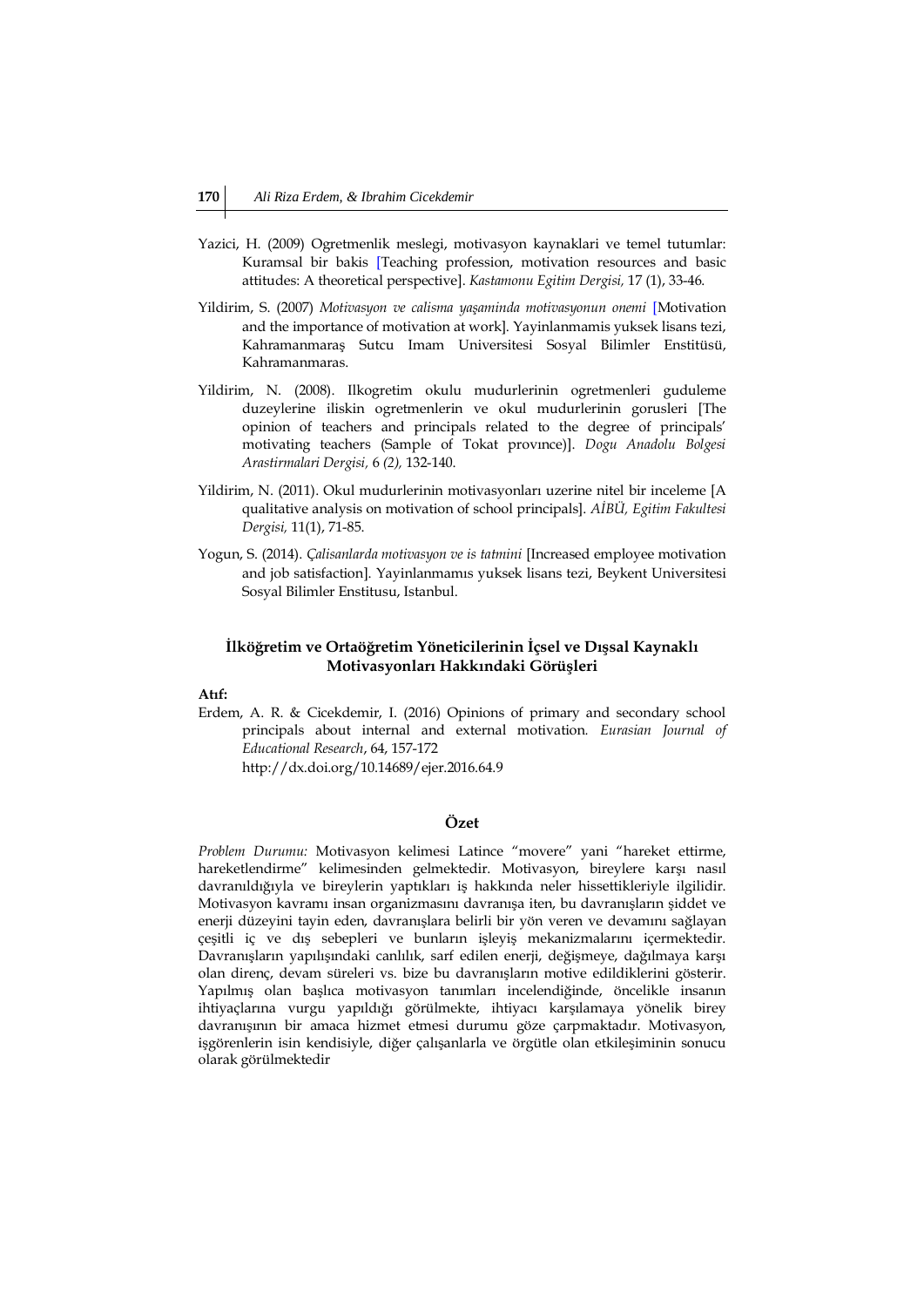- Yazici, H. (2009) Ogretmenlik meslegi, motivasyon kaynaklari ve temel tutumlar: Kuramsal bir bakis [Teaching profession, motivation resources and basic attitudes: A theoretical perspective]. *Kastamonu Egitim Dergisi,* 17 (1), 33-46.
- Yildirim, S. (2007) *Motivasyon ve calisma yaşaminda motivasyonun onemi* [Motivation and the importance of motivation at work]. Yayinlanmamis yuksek lisans tezi, Kahramanmaraş Sutcu Imam Universitesi Sosyal Bilimler Enstitüsü, Kahramanmaras.
- Yildirim, N. (2008). Ilkogretim okulu mudurlerinin ogretmenleri guduleme duzeylerine iliskin ogretmenlerin ve okul mudurlerinin gorusleri [The opinion of teachers and principals related to the degree of principals' motivating teachers (Sample of Tokat provınce)]. *Dogu Anadolu Bolgesi Arastirmalari Dergisi,* 6 *(2),* 132-140.
- Yildirim, N. (2011). Okul mudurlerinin motivasyonları uzerine nitel bir inceleme [A qualitative analysis on motivation of school principals]. *AİBÜ, Egitim Fakultesi Dergisi,* 11(1), 71-85.
- Yogun, S. (2014). *Çalisanlarda motivasyon ve is tatmini* [Increased employee motivation and job satisfaction]. Yayinlanmamıs yuksek lisans tezi, Beykent Universitesi Sosyal Bilimler Enstitusu, Istanbul.

### **İlköğretim ve Ortaöğretim Yöneticilerinin İçsel ve Dışsal Kaynaklı Motivasyonları Hakkındaki Görüşleri**

### **Atıf:**

Erdem, A. R. & Cicekdemir, I. (2016) Opinions of primary and secondary school principals about internal and external motivation*. Eurasian Journal of Educational Research*, 64, 157-172 http://dx.doi.org/10.14689/ejer.2016.64.9

### **Özet**

*Problem Durumu:* Motivasyon kelimesi Latince "movere" yani "hareket ettirme, hareketlendirme" kelimesinden gelmektedir. Motivasyon, bireylere karşı nasıl davranıldığıyla ve bireylerin yaptıkları iş hakkında neler hissettikleriyle ilgilidir. Motivasyon kavramı insan organizmasını davranışa iten, bu davranışların şiddet ve enerji düzeyini tayin eden, davranışlara belirli bir yön veren ve devamını sağlayan çeşitli iç ve dış sebepleri ve bunların işleyiş mekanizmalarını içermektedir. Davranışların yapılışındaki canlılık, sarf edilen enerji, değişmeye, dağılmaya karşı olan direnç, devam süreleri vs. bize bu davranışların motive edildiklerini gösterir. Yapılmış olan başlıca motivasyon tanımları incelendiğinde, öncelikle insanın ihtiyaçlarına vurgu yapıldığı görülmekte, ihtiyacı karşılamaya yönelik birey davranışının bir amaca hizmet etmesi durumu göze çarpmaktadır. Motivasyon, işgörenlerin isin kendisiyle, diğer çalışanlarla ve örgütle olan etkileşiminin sonucu olarak görülmektedir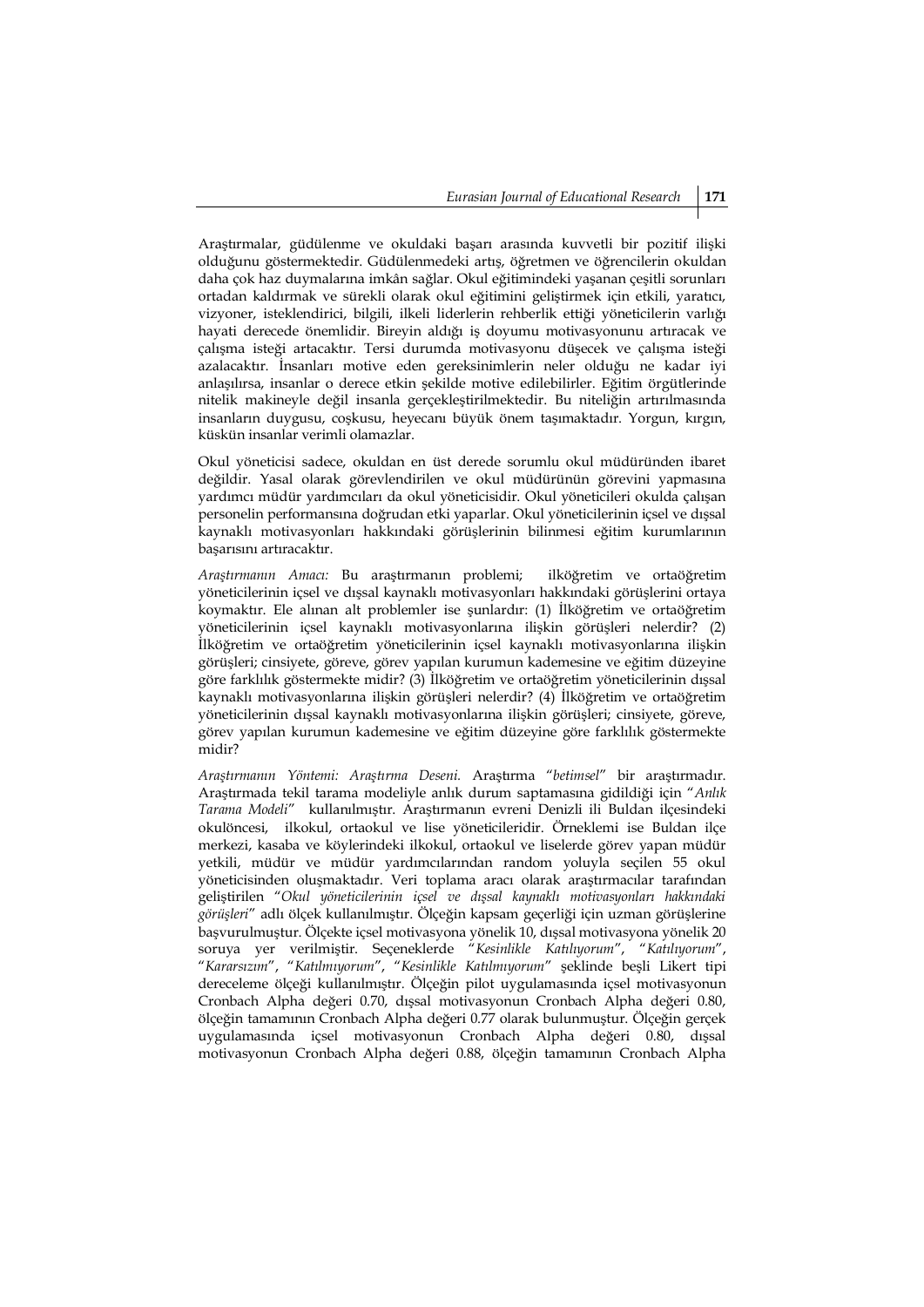Araştırmalar, güdülenme ve okuldaki başarı arasında kuvvetli bir pozitif ilişki olduğunu göstermektedir. Güdülenmedeki artış, öğretmen ve öğrencilerin okuldan daha çok haz duymalarına imkân sağlar. Okul eğitimindeki yaşanan çeşitli sorunları ortadan kaldırmak ve sürekli olarak okul eğitimini geliştirmek için etkili, yaratıcı, vizyoner, isteklendirici, bilgili, ilkeli liderlerin rehberlik ettiği yöneticilerin varlığı hayati derecede önemlidir. Bireyin aldığı iş doyumu motivasyonunu artıracak ve çalışma isteği artacaktır. Tersi durumda motivasyonu düşecek ve çalışma isteği azalacaktır. İnsanları motive eden gereksinimlerin neler olduğu ne kadar iyi anlaşılırsa, insanlar o derece etkin şekilde motive edilebilirler. Eğitim örgütlerinde nitelik makineyle değil insanla gerçekleştirilmektedir. Bu niteliğin artırılmasında insanların duygusu, coşkusu, heyecanı büyük önem taşımaktadır. Yorgun, kırgın, küskün insanlar verimli olamazlar.

Okul yöneticisi sadece, okuldan en üst derede sorumlu okul müdüründen ibaret değildir. Yasal olarak görevlendirilen ve okul müdürünün görevini yapmasına yardımcı müdür yardımcıları da okul yöneticisidir. Okul yöneticileri okulda çalışan personelin performansına doğrudan etki yaparlar. Okul yöneticilerinin içsel ve dışsal kaynaklı motivasyonları hakkındaki görüşlerinin bilinmesi eğitim kurumlarının başarısını artıracaktır.

*Araştırmanın Amacı:* Bu araştırmanın problemi; ilköğretim ve ortaöğretim yöneticilerinin içsel ve dışsal kaynaklı motivasyonları hakkındaki görüşlerini ortaya koymaktır. Ele alınan alt problemler ise şunlardır: (1) İlköğretim ve ortaöğretim yöneticilerinin içsel kaynaklı motivasyonlarına ilişkin görüşleri nelerdir? (2) İlköğretim ve ortaöğretim yöneticilerinin içsel kaynaklı motivasyonlarına ilişkin görüşleri; cinsiyete, göreve, görev yapılan kurumun kademesine ve eğitim düzeyine göre farklılık göstermekte midir? (3) İlköğretim ve ortaöğretim yöneticilerinin dışsal kaynaklı motivasyonlarına ilişkin görüşleri nelerdir? (4) İlköğretim ve ortaöğretim yöneticilerinin dışsal kaynaklı motivasyonlarına ilişkin görüşleri; cinsiyete, göreve, görev yapılan kurumun kademesine ve eğitim düzeyine göre farklılık göstermekte midir?

*Araştırmanın Yöntemi: Araştırma Deseni.* Araştırma "*betimsel*" bir araştırmadır. Araştırmada tekil tarama modeliyle anlık durum saptamasına gidildiği için "*Anlık Tarama Modeli*" kullanılmıştır. Araştırmanın evreni Denizli ili Buldan ilçesindeki okulöncesi, ilkokul, ortaokul ve lise yöneticileridir. Örneklemi ise Buldan ilçe merkezi, kasaba ve köylerindeki ilkokul, ortaokul ve liselerde görev yapan müdür yetkili, müdür ve müdür yardımcılarından random yoluyla seçilen 55 okul yöneticisinden oluşmaktadır. Veri toplama aracı olarak araştırmacılar tarafından geliştirilen "*Okul yöneticilerinin içsel ve dışsal kaynaklı motivasyonları hakkındaki görüşleri*" adlı ölçek kullanılmıştır. Ölçeğin kapsam geçerliği için uzman görüşlerine başvurulmuştur. Ölçekte içsel motivasyona yönelik 10, dışsal motivasyona yönelik 20 soruya yer verilmiştir. Seçeneklerde "*Kesinlikle Katılıyorum*", "*Katılıyorum*", "*Kararsızım*", "*Katılmıyorum*", "*Kesinlikle Katılmıyorum*" şeklinde beşli Likert tipi dereceleme ölçeği kullanılmıştır*.* Ölçeğin pilot uygulamasında içsel motivasyonun Cronbach Alpha değeri 0.70, dışsal motivasyonun Cronbach Alpha değeri 0.80, ölçeğin tamamının Cronbach Alpha değeri 0.77 olarak bulunmuştur. Ölçeğin gerçek uygulamasında içsel motivasyonun Cronbach Alpha değeri 0.80, dışsal motivasyonun Cronbach Alpha değeri 0.88, ölçeğin tamamının Cronbach Alpha